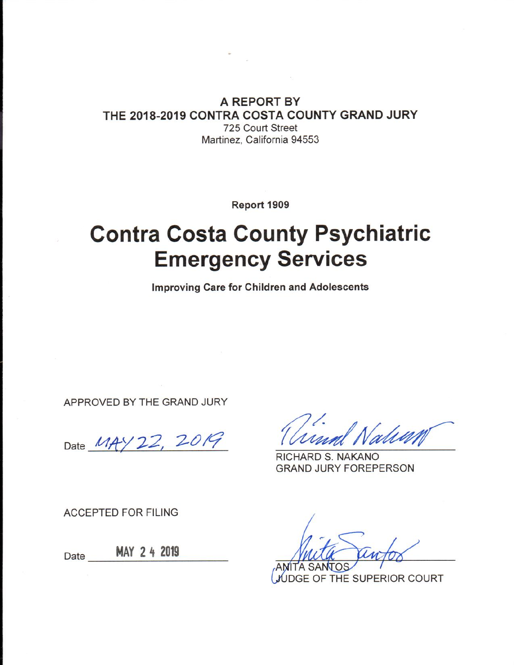#### A REPORT BY THE 2018-2019 CONTRA COSTA COUNTY GRAND JURY 725 Court Street Martinez. California 94553

Report 1909

# **Contra Costa County Psychiatric Emergency Services**

**Improving Care for Children and Adolescents** 

APPROVED BY THE GRAND JURY

Date MAY 22, 2019

RICHARD S. NAKANO **GRAND JURY FOREPERSON** 

**ACCEPTED FOR FILING** 

MAY 2 4 2019 Date

**JDGE OF THE SUPERIOR COURT**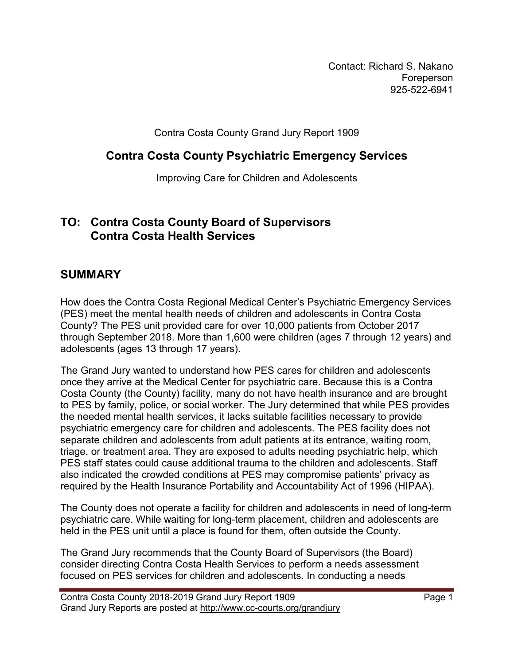Contact: Richard S. Nakano Foreperson 925-522-6941

Contra Costa County Grand Jury Report 1909

#### **Contra Costa County Psychiatric Emergency Services**

Improving Care for Children and Adolescents

#### **TO: Contra Costa County Board of Supervisors Contra Costa Health Services**

#### **SUMMARY**

How does the Contra Costa Regional Medical Center's Psychiatric Emergency Services (PES) meet the mental health needs of children and adolescents in Contra Costa County? The PES unit provided care for over 10,000 patients from October 2017 through September 2018. More than 1,600 were children (ages 7 through 12 years) and adolescents (ages 13 through 17 years).

The Grand Jury wanted to understand how PES cares for children and adolescents once they arrive at the Medical Center for psychiatric care. Because this is a Contra Costa County (the County) facility, many do not have health insurance and are brought to PES by family, police, or social worker. The Jury determined that while PES provides the needed mental health services, it lacks suitable facilities necessary to provide psychiatric emergency care for children and adolescents. The PES facility does not separate children and adolescents from adult patients at its entrance, waiting room, triage, or treatment area. They are exposed to adults needing psychiatric help, which PES staff states could cause additional trauma to the children and adolescents. Staff also indicated the crowded conditions at PES may compromise patients' privacy as required by the Health Insurance Portability and Accountability Act of 1996 (HIPAA).

The County does not operate a facility for children and adolescents in need of long-term psychiatric care. While waiting for long-term placement, children and adolescents are held in the PES unit until a place is found for them, often outside the County.

The Grand Jury recommends that the County Board of Supervisors (the Board) consider directing Contra Costa Health Services to perform a needs assessment focused on PES services for children and adolescents. In conducting a needs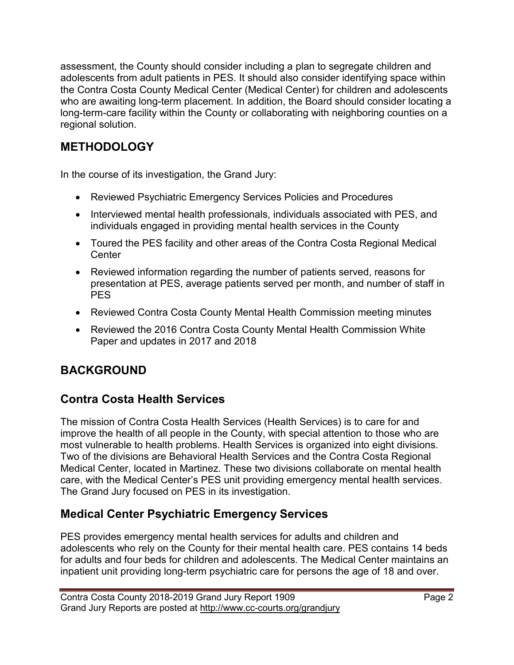assessment, the County should consider including a plan to segregate children and adolescents from adult patients in PES. It should also consider identifying space within the Contra Costa County Medical Center (Medical Center) for children and adolescents who are awaiting long-term placement. In addition, the Board should consider locating a long-term-care facility within the County or collaborating with neighboring counties on a regional solution.

# **METHODOLOGY**

In the course of its investigation, the Grand Jury:

- Reviewed Psychiatric Emergency Services Policies and Procedures
- Interviewed mental health professionals, individuals associated with PES, and individuals engaged in providing mental health services in the County
- Toured the PES facility and other areas of the Contra Costa Regional Medical **Center**
- Reviewed information regarding the number of patients served, reasons for presentation at PES, average patients served per month, and number of staff in PES
- Reviewed Contra Costa County Mental Health Commission meeting minutes
- Reviewed the 2016 Contra Costa County Mental Health Commission White Paper and updates in 2017 and 2018

# **BACKGROUND**

# **Contra Costa Health Services**

The mission of Contra Costa Health Services (Health Services) is to care for and improve the health of all people in the County, with special attention to those who are most vulnerable to health problems. Health Services is organized into eight divisions. Two of the divisions are Behavioral Health Services and the Contra Costa Regional Medical Center, located in Martinez. These two divisions collaborate on mental health care, with the Medical Center's PES unit providing emergency mental health services. The Grand Jury focused on PES in its investigation.

## **Medical Center Psychiatric Emergency Services**

PES provides emergency mental health services for adults and children and adolescents who rely on the County for their mental health care. PES contains 14 beds for adults and four beds for children and adolescents. The Medical Center maintains an inpatient unit providing long-term psychiatric care for persons the age of 18 and over.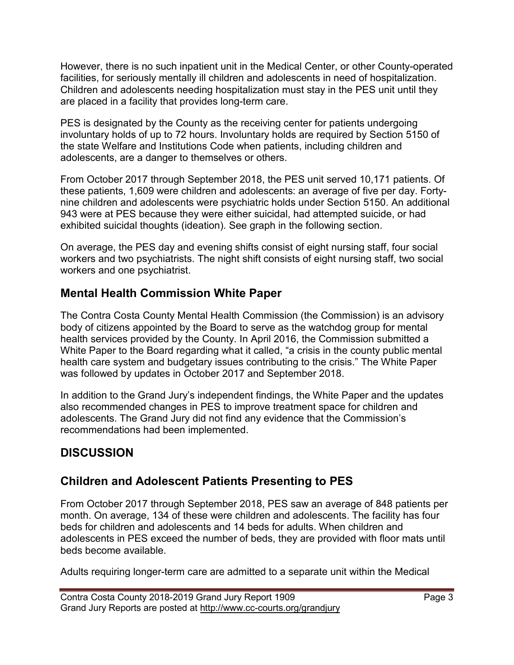However, there is no such inpatient unit in the Medical Center, or other County-operated facilities, for seriously mentally ill children and adolescents in need of hospitalization. Children and adolescents needing hospitalization must stay in the PES unit until they are placed in a facility that provides long-term care.

PES is designated by the County as the receiving center for patients undergoing involuntary holds of up to 72 hours. Involuntary holds are required by Section 5150 of the state Welfare and Institutions Code when patients, including children and adolescents, are a danger to themselves or others.

From October 2017 through September 2018, the PES unit served 10,171 patients. Of these patients, 1,609 were children and adolescents: an average of five per day. Fortynine children and adolescents were psychiatric holds under Section 5150. An additional 943 were at PES because they were either suicidal, had attempted suicide, or had exhibited suicidal thoughts (ideation). See graph in the following section.

On average, the PES day and evening shifts consist of eight nursing staff, four social workers and two psychiatrists. The night shift consists of eight nursing staff, two social workers and one psychiatrist.

#### **Mental Health Commission White Paper**

The Contra Costa County Mental Health Commission (the Commission) is an advisory body of citizens appointed by the Board to serve as the watchdog group for mental health services provided by the County. In April 2016, the Commission submitted a White Paper to the Board regarding what it called, "a crisis in the county public mental health care system and budgetary issues contributing to the crisis." The White Paper was followed by updates in October 2017 and September 2018.

In addition to the Grand Jury's independent findings, the White Paper and the updates also recommended changes in PES to improve treatment space for children and adolescents. The Grand Jury did not find any evidence that the Commission's recommendations had been implemented.

# **DISCUSSION**

# **Children and Adolescent Patients Presenting to PES**

From October 2017 through September 2018, PES saw an average of 848 patients per month. On average, 134 of these were children and adolescents. The facility has four beds for children and adolescents and 14 beds for adults. When children and adolescents in PES exceed the number of beds, they are provided with floor mats until beds become available.

Adults requiring longer-term care are admitted to a separate unit within the Medical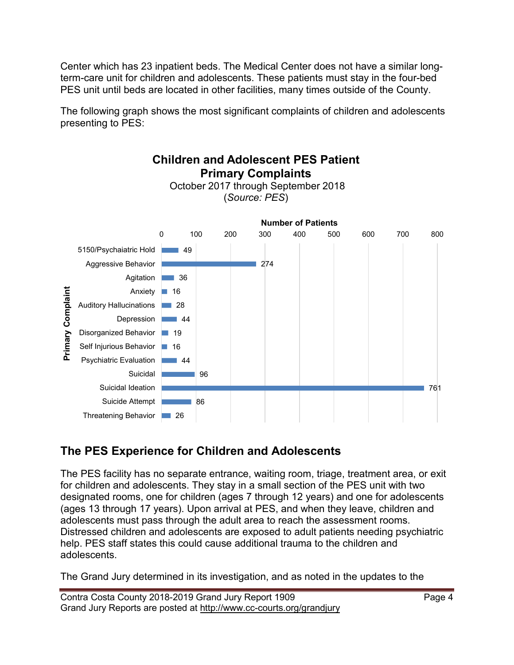Center which has 23 inpatient beds. The Medical Center does not have a similar longterm-care unit for children and adolescents. These patients must stay in the four-bed PES unit until beds are located in other facilities, many times outside of the County.

The following graph shows the most significant complaints of children and adolescents presenting to PES:



# **The PES Experience for Children and Adolescents**

The PES facility has no separate entrance, waiting room, triage, treatment area, or exit for children and adolescents. They stay in a small section of the PES unit with two designated rooms, one for children (ages 7 through 12 years) and one for adolescents (ages 13 through 17 years). Upon arrival at PES, and when they leave, children and adolescents must pass through the adult area to reach the assessment rooms. Distressed children and adolescents are exposed to adult patients needing psychiatric help. PES staff states this could cause additional trauma to the children and adolescents.

The Grand Jury determined in its investigation, and as noted in the updates to the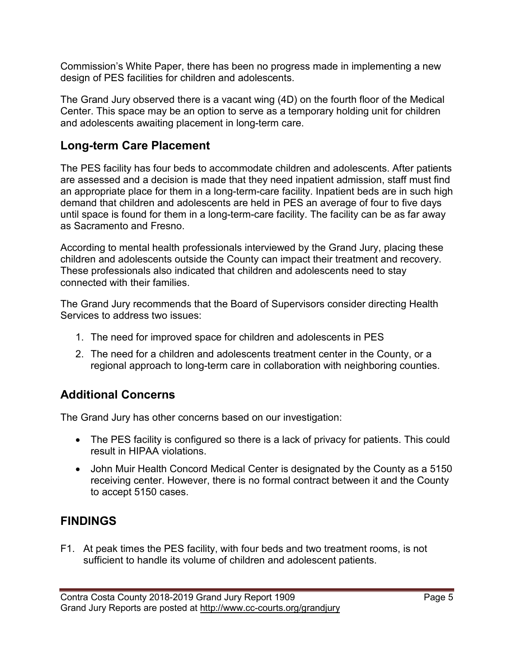Commission's White Paper, there has been no progress made in implementing a new design of PES facilities for children and adolescents.

The Grand Jury observed there is a vacant wing (4D) on the fourth floor of the Medical Center. This space may be an option to serve as a temporary holding unit for children and adolescents awaiting placement in long-term care.

#### **Long-term Care Placement**

The PES facility has four beds to accommodate children and adolescents. After patients are assessed and a decision is made that they need inpatient admission, staff must find an appropriate place for them in a long-term-care facility. Inpatient beds are in such high demand that children and adolescents are held in PES an average of four to five days until space is found for them in a long-term-care facility. The facility can be as far away as Sacramento and Fresno.

According to mental health professionals interviewed by the Grand Jury, placing these children and adolescents outside the County can impact their treatment and recovery. These professionals also indicated that children and adolescents need to stay connected with their families.

The Grand Jury recommends that the Board of Supervisors consider directing Health Services to address two issues:

- 1. The need for improved space for children and adolescents in PES
- 2. The need for a children and adolescents treatment center in the County, or a regional approach to long-term care in collaboration with neighboring counties.

## **Additional Concerns**

The Grand Jury has other concerns based on our investigation:

- The PES facility is configured so there is a lack of privacy for patients. This could result in HIPAA violations.
- John Muir Health Concord Medical Center is designated by the County as a 5150 receiving center. However, there is no formal contract between it and the County to accept 5150 cases.

## **FINDINGS**

F1. At peak times the PES facility, with four beds and two treatment rooms, is not sufficient to handle its volume of children and adolescent patients.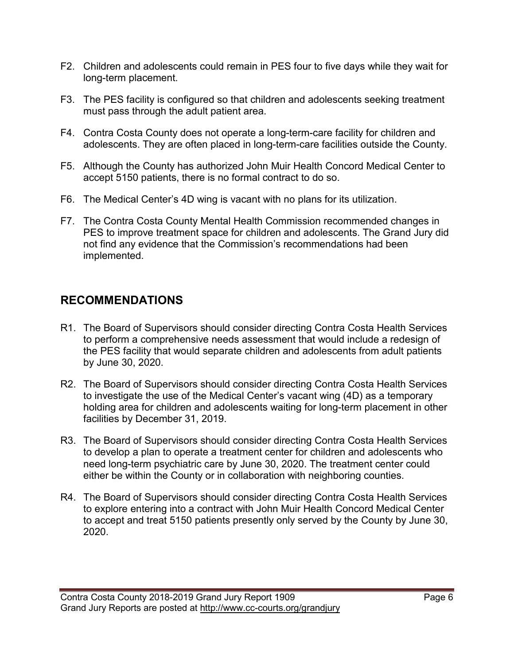- F2. Children and adolescents could remain in PES four to five days while they wait for long-term placement.
- F3. The PES facility is configured so that children and adolescents seeking treatment must pass through the adult patient area.
- F4. Contra Costa County does not operate a long-term-care facility for children and adolescents. They are often placed in long-term-care facilities outside the County.
- F5. Although the County has authorized John Muir Health Concord Medical Center to accept 5150 patients, there is no formal contract to do so.
- F6. The Medical Center's 4D wing is vacant with no plans for its utilization.
- F7. The Contra Costa County Mental Health Commission recommended changes in PES to improve treatment space for children and adolescents. The Grand Jury did not find any evidence that the Commission's recommendations had been implemented.

# **RECOMMENDATIONS**

- R1. The Board of Supervisors should consider directing Contra Costa Health Services to perform a comprehensive needs assessment that would include a redesign of the PES facility that would separate children and adolescents from adult patients by June 30, 2020.
- R2. The Board of Supervisors should consider directing Contra Costa Health Services to investigate the use of the Medical Center's vacant wing (4D) as a temporary holding area for children and adolescents waiting for long-term placement in other facilities by December 31, 2019.
- R3. The Board of Supervisors should consider directing Contra Costa Health Services to develop a plan to operate a treatment center for children and adolescents who need long-term psychiatric care by June 30, 2020. The treatment center could either be within the County or in collaboration with neighboring counties.
- R4. The Board of Supervisors should consider directing Contra Costa Health Services to explore entering into a contract with John Muir Health Concord Medical Center to accept and treat 5150 patients presently only served by the County by June 30, 2020.